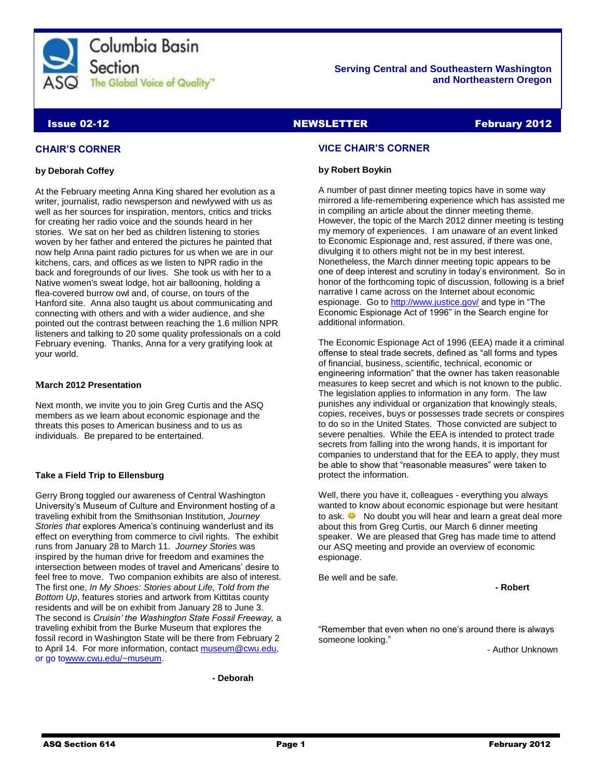

### **Serving Central and Southeastern Washington and Northeastern Oregon**

### **Issue 02-12** NEWSLETTER February 2012

### **CHAIR'S CORNER**

### **by Deborah Coffey**

At the February meeting Anna King shared her evolution as a writer, journalist, radio newsperson and newlywed with us as well as her sources for inspiration, mentors, critics and tricks for creating her radio voice and the sounds heard in her stories. We sat on her bed as children listening to stories woven by her father and entered the pictures he painted that now help Anna paint radio pictures for us when we are in our kitchens, cars, and offices as we listen to NPR radio in the back and foregrounds of our lives. She took us with her to a Native women's sweat lodge, hot air ballooning, holding a flea-covered burrow owl and, of course, on tours of the Hanford site. Anna also taught us about communicating and connecting with others and with a wider audience, and she pointed out the contrast between reaching the 1.6 million NPR listeners and talking to 20 some quality professionals on a cold February evening. Thanks, Anna for a very gratifying look at your world.

### **March 2012 Presentation**

Next month, we invite you to join Greg Curtis and the ASQ members as we learn about economic espionage and the threats this poses to American business and to us as individuals. Be prepared to be entertained.

### **Take a Field Trip to Ellensburg**

Gerry Brong toggled our awareness of Central Washington University's Museum of Culture and Environment hosting of a traveling exhibit from the Smithsonian Institution, *Journey Stories that* explores America's continuing wanderlust and its effect on everything from commerce to civil rights. The exhibit runs from January 28 to March 11. *Journey Stories* was inspired by the human drive for freedom and examines the intersection between modes of travel and Americans' desire to feel free to move. Two companion exhibits are also of interest. The first one, *In My Shoes: Stories about Life, Told from the Bottom Up*, features stories and artwork from Kittitas county residents and will be on exhibit from January 28 to June 3. The second is *Cruisin' the Washington State Fossil Freeway,* a traveling exhibit from the Burke Museum that explores the fossil record in Washington State will be there from February 2 to April 14. For more information, contact [museum@cwu.edu,](mailto:museum@cwu.edu) or go t[owww.cwu.edu/~museum.](http://www.cwu.edu/~museum)

**- Deborah**

### **VICE CHAIR'S CORNER**

### **by Robert Boykin**

A number of past dinner meeting topics have in some way mirrored a life-remembering experience which has assisted me in compiling an article about the dinner meeting theme. However, the topic of the March 2012 dinner meeting is testing my memory of experiences. I am unaware of an event linked to Economic Espionage and, rest assured, if there was one, divulging it to others might not be in my best interest. Nonetheless, the March dinner meeting topic appears to be one of deep interest and scrutiny in today's environment. So in honor of the forthcoming topic of discussion, following is a brief narrative I came across on the Internet about economic espionage. Go t[o http://www.justice.gov/](http://www.justice.gov/) and type in "The Economic Espionage Act of 1996" in the Search engine for additional information.

The Economic Espionage Act of 1996 (EEA) made it a criminal offense to steal trade secrets, defined as "all forms and types of financial, business, scientific, technical, economic or engineering information" that the owner has taken reasonable measures to keep secret and which is not known to the public. The legislation applies to information in any form. The law punishes any individual or organization that knowingly steals, copies, receives, buys or possesses trade secrets or conspires to do so in the United States. Those convicted are subject to severe penalties. While the EEA is intended to protect trade secrets from falling into the wrong hands, it is important for companies to understand that for the EEA to apply, they must be able to show that "reasonable measures" were taken to protect the information.

Well, there you have it, colleagues - everything you always wanted to know about economic espionage but were hesitant toask.  $\ddot{\bullet}$  No doubt you will hear and learn a great deal more about this from Greg Curtis, our March 6 dinner meeting speaker. We are pleased that Greg has made time to attend our ASQ meeting and provide an overview of economic espionage.

Be well and be safe.

**- Robert**

"Remember that even when no one's around there is always someone looking."

- Author Unknown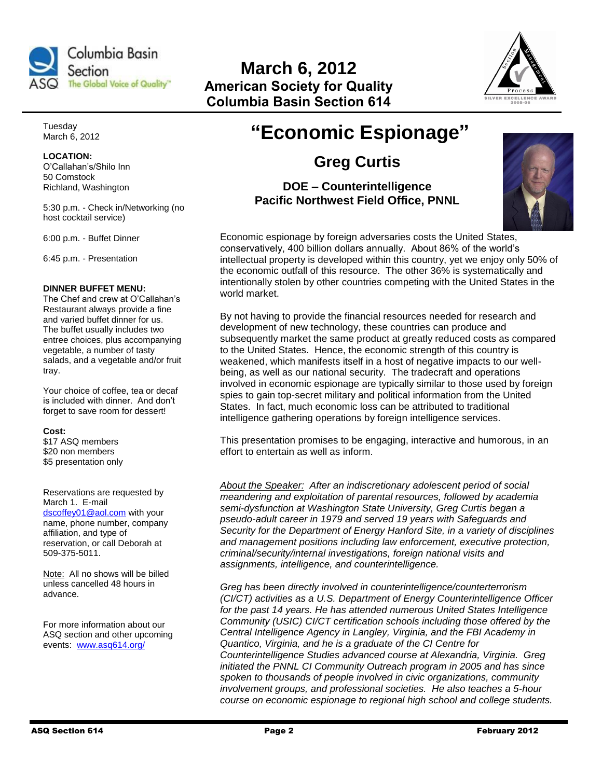

# **March 6, 2012 American Society for Quality Columbia Basin Section 614**



Tuesday March 6, 2012

## **LOCATION:**

O'Callahan's/Shilo Inn 50 Comstock Richland, Washington

5:30 p.m. - Check in/Networking (no host cocktail service)

6:00 p.m. - Buffet Dinner

6:45 p.m. - Presentation

### **DINNER BUFFET MENU:**

The Chef and crew at O'Callahan's Restaurant always provide a fine and varied buffet dinner for us. The buffet usually includes two entree choices, plus accompanying vegetable, a number of tasty salads, and a vegetable and/or fruit tray.

Your choice of coffee, tea or decaf is included with dinner. And don't forget to save room for dessert!

### **Cost:**

\$17 ASQ members \$20 non members \$5 presentation only

Reservations are requested by March 1. E-mail [dscoffey01@aol.com](mailto:dscoffey01@aol.com) with your name, phone number, company affiliation, and type of

reservation, or call Deborah at 509-375-5011.

Note: All no shows will be billed unless cancelled 48 hours in advance.

For more information about our ASQ section and other upcoming events: [www.asq614.org/](http://www.asq614.org/)

# **"Economic Espionage"**

## **Greg Curtis**

**DOE – Counterintelligence Pacific Northwest Field Office, PNNL**



Economic espionage by foreign adversaries costs the United States, conservatively, 400 billion dollars annually. About 86% of the world's intellectual property is developed within this country, yet we enjoy only 50% of the economic outfall of this resource. The other 36% is systematically and intentionally stolen by other countries competing with the United States in the world market.

By not having to provide the financial resources needed for research and development of new technology, these countries can produce and subsequently market the same product at greatly reduced costs as compared to the United States. Hence, the economic strength of this country is weakened, which manifests itself in a host of negative impacts to our wellbeing, as well as our national security. The tradecraft and operations involved in economic espionage are typically similar to those used by foreign spies to gain top-secret military and political information from the United States. In fact, much economic loss can be attributed to traditional intelligence gathering operations by foreign intelligence services.

This presentation promises to be engaging, interactive and humorous, in an effort to entertain as well as inform.

*About the Speaker: After an indiscretionary adolescent period of social meandering and exploitation of parental resources, followed by academia semi-dysfunction at Washington State University, Greg Curtis began a pseudo-adult career in 1979 and served 19 years with Safeguards and Security for the Department of Energy Hanford Site, in a variety of disciplines and management positions including law enforcement, executive protection, criminal/security/internal investigations, foreign national visits and assignments, intelligence, and counterintelligence.*

*Greg has been directly involved in counterintelligence/counterterrorism (CI/CT) activities as a U.S. Department of Energy Counterintelligence Officer for the past 14 years. He has attended numerous United States Intelligence Community (USIC) CI/CT certification schools including those offered by the Central Intelligence Agency in Langley, Virginia, and the FBI Academy in Quantico, Virginia, and he is a graduate of the CI Centre for Counterintelligence Studies advanced course at Alexandria, Virginia. Greg initiated the PNNL CI Community Outreach program in 2005 and has since spoken to thousands of people involved in civic organizations, community involvement groups, and professional societies. He also teaches a 5-hour course on economic espionage to regional high school and college students.*